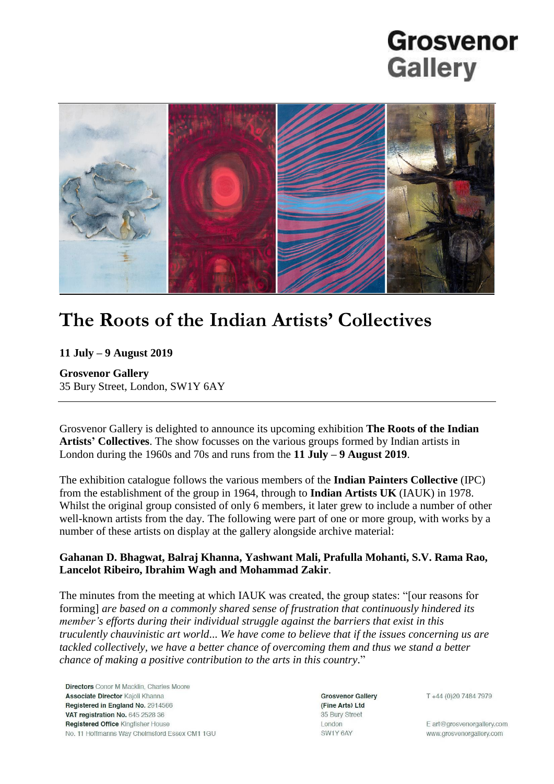# **Grosvenor Gallery**



### **The Roots of the Indian Artists' Collectives**

**11 July – 9 August 2019**

**Grosvenor Gallery** 35 Bury Street, London, SW1Y 6AY

Grosvenor Gallery is delighted to announce its upcoming exhibition **The Roots of the Indian Artists' Collectives**. The show focusses on the various groups formed by Indian artists in London during the 1960s and 70s and runs from the **11 July – 9 August 2019**.

The exhibition catalogue follows the various members of the **Indian Painters Collective** (IPC) from the establishment of the group in 1964, through to **Indian Artists UK** (IAUK) in 1978. Whilst the original group consisted of only 6 members, it later grew to include a number of other well-known artists from the day. The following were part of one or more group, with works by a number of these artists on display at the gallery alongside archive material:

### **Gahanan D. Bhagwat, Balraj Khanna, Yashwant Mali, Prafulla Mohanti, S.V. Rama Rao, Lancelot Ribeiro, Ibrahim Wagh and Mohammad Zakir**.

The minutes from the meeting at which IAUK was created, the group states: "[our reasons for forming] *are based on a commonly shared sense of frustration that continuously hindered its member's efforts during their individual struggle against the barriers that exist in this truculently chauvinistic art world*... *We have come to believe that if the issues concerning us are tackled collectively, we have a better chance of overcoming them and thus we stand a better chance of making a positive contribution to the arts in this country*."

**Directors** Conor M Macklin, Charles Moore Associate Director Kajoli Khanna Registered in England No. 2914566 VAT registration No. 645 2528 36 Registered Office Kingfisher House No. 11 Hoffmanns Way Chelmsford Essex CM1 1GU

**Grosvenor Gallery** (Fine Arts) Ltd 35 Bury Street London SW1Y 6AY

T+44 (0)20 7484 7979

E art@grosvenorgallery.com www.grosvenorgallery.com